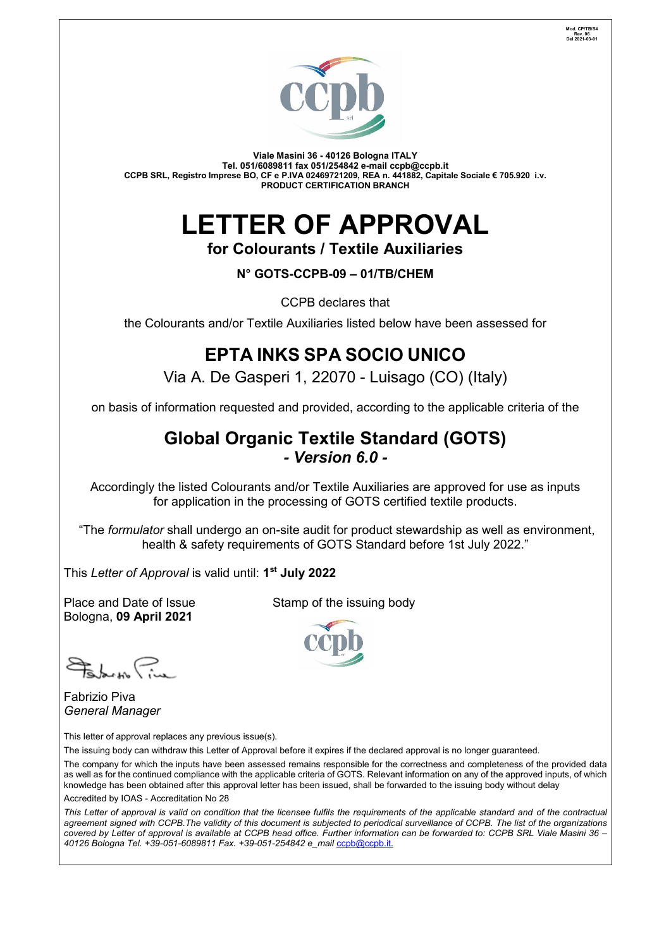

**Viale Masini 36 - 40126 Bologna ITALY Tel. 051/6089811 fax 051/254842 e-mail [ccpb@ccpb.it](mailto:ccpb@ccpb.it) CCPB SRL, Registro Imprese BO, CF e P.IVA 02469721209, REA n. 441882, Capitale Sociale € 705.920 i.v. PRODUCT CERTIFICATION BRANCH**

# **LETTER OF APPROVAL**

**for Colourants / Textile Auxiliaries**

**N° GOTS-CCPB-09 – 01/TB/CHEM**

CCPB declares that

the Colourants and/or Textile Auxiliaries listed below have been assessed for

# **EPTA INKS SPA SOCIO UNICO**

Via A. De Gasperi 1, 22070 - Luisago (CO) (Italy)

on basis of information requested and provided, according to the applicable criteria of the

# **Global Organic Textile Standard (GOTS)** *- Version 6.0 -*

Accordingly the listed Colourants and/or Textile Auxiliaries are approved for use as inputs for application in the processing of GOTS certified textile products.

"The *formulator* shall undergo an on-site audit for product stewardship as well as environment, health & safety requirements of GOTS Standard before 1st July 2022."

This *Letter of Approval* is valid until: **1 st July 2022**

Place and Date of Issue Stamp of the issuing body Bologna, **09 April 2021**

 $\sharp$ 

Fabrizio Piva *General Manager*

This letter of approval replaces any previous issue(s).

The issuing body can withdraw this Letter of Approval before it expires if the declared approval is no longer guaranteed.

The company for which the inputs have been assessed remains responsible for the correctness and completeness of the provided data as well as for the continued compliance with the applicable criteria of GOTS. Relevant information on any of the approved inputs, of which knowledge has been obtained after this approval letter has been issued, shall be forwarded to the issuing body without delay Accredited by IOAS - Accreditation No 28

*This Letter of approval is valid on condition that the licensee fulfils the requirements of the applicable standard and of the contractual agreement signed with CCPB.The validity of this document is subjected to periodical surveillance of CCPB. The list of the organizations covered by Letter of approval is available at CCPB head office. Further information can be forwarded to: CCPB SRL Viale Masini 36 – 40126 Bologna Tel. +39-051-6089811 Fax. +39-051-254842 e\_mail* [ccpb@ccpb.it.](mailto:e_mailccpb@ccpb.it)

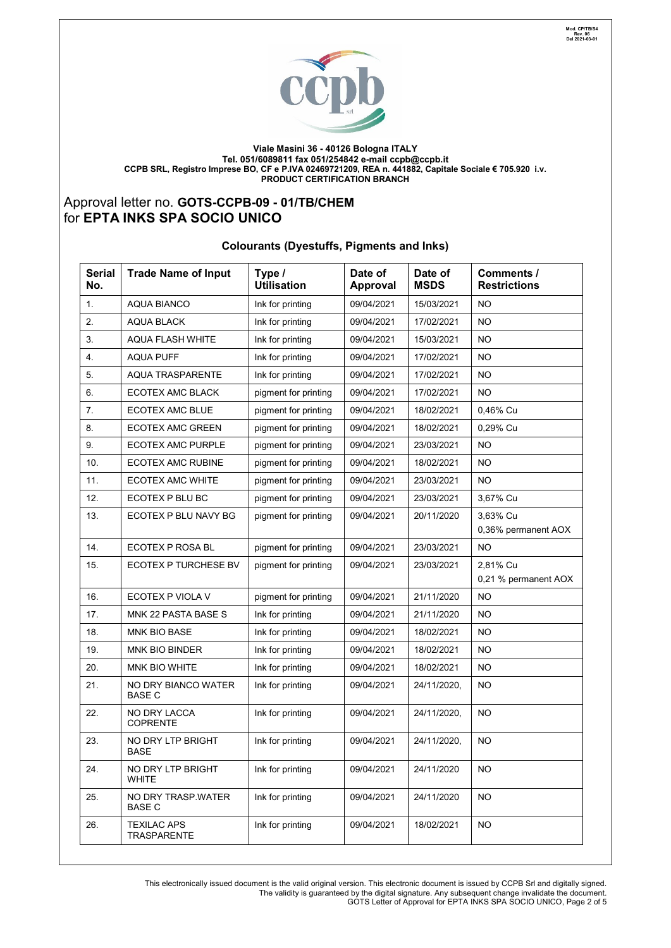

**Viale Masini 36 - 40126 Bologna ITALY Tel. 051/6089811 fax 051/254842 e-mail [ccpb@ccpb.it](mailto:ccpb@ccpb.it) CCPB SRL, Registro Imprese BO, CF e P.IVA 02469721209, REA n. 441882, Capitale Sociale € 705.920 i.v. PRODUCT CERTIFICATION BRANCH**

# Approval letter no. **GOTS-CCPB-09 - 01/TB/CHEM**  for **EPTA INKS SPA SOCIO UNICO**

#### **Colourants (Dyestuffs, Pigments and Inks)**

| <b>Serial</b><br>No. | <b>Trade Name of Input</b>               | Type /<br><b>Utilisation</b> | Date of<br><b>Approval</b> | Date of<br><b>MSDS</b> | Comments /<br><b>Restrictions</b> |
|----------------------|------------------------------------------|------------------------------|----------------------------|------------------------|-----------------------------------|
| 1.                   | <b>AQUA BIANCO</b>                       | Ink for printing             | 09/04/2021                 | 15/03/2021             | NO.                               |
| 2.                   | <b>AQUA BLACK</b>                        | Ink for printing             | 09/04/2021                 | 17/02/2021             | <b>NO</b>                         |
| 3.                   | <b>AQUA FLASH WHITE</b>                  | Ink for printing             | 09/04/2021                 | 15/03/2021             | NO.                               |
| 4.                   | <b>AQUA PUFF</b>                         | Ink for printing             | 09/04/2021                 | 17/02/2021             | NO.                               |
| 5.                   | <b>AQUA TRASPARENTE</b>                  | Ink for printing             | 09/04/2021                 | 17/02/2021             | <b>NO</b>                         |
| 6.                   | ECOTEX AMC BLACK                         | pigment for printing         | 09/04/2021                 | 17/02/2021             | NO.                               |
| 7.                   | ECOTEX AMC BLUE                          | pigment for printing         | 09/04/2021                 | 18/02/2021             | 0,46% Cu                          |
| 8.                   | ECOTEX AMC GREEN                         | pigment for printing         | 09/04/2021                 | 18/02/2021             | 0,29% Cu                          |
| 9.                   | ECOTEX AMC PURPLE                        | pigment for printing         | 09/04/2021                 | 23/03/2021             | NO.                               |
| 10.                  | ECOTEX AMC RUBINE                        | pigment for printing         | 09/04/2021                 | 18/02/2021             | <b>NO</b>                         |
| 11.                  | <b>ECOTEX AMC WHITE</b>                  | pigment for printing         | 09/04/2021                 | 23/03/2021             | NO.                               |
| 12.                  | ECOTEX P BLU BC                          | pigment for printing         | 09/04/2021                 | 23/03/2021             | 3,67% Cu                          |
| 13.                  | ECOTEX P BLU NAVY BG                     | pigment for printing         | 09/04/2021                 | 20/11/2020             | 3,63% Cu<br>0,36% permanent AOX   |
| 14.                  | ECOTEX P ROSA BL                         | pigment for printing         | 09/04/2021                 | 23/03/2021             | <b>NO</b>                         |
| 15.                  | ECOTEX P TURCHESE BV                     | pigment for printing         | 09/04/2021                 | 23/03/2021             | 2,81% Cu<br>0,21 % permanent AOX  |
| 16.                  | ECOTEX P VIOLA V                         | pigment for printing         | 09/04/2021                 | 21/11/2020             | <b>NO</b>                         |
| 17.                  | MNK 22 PASTA BASE S                      | Ink for printing             | 09/04/2021                 | 21/11/2020             | NO.                               |
| 18.                  | MNK BIO BASE                             | Ink for printing             | 09/04/2021                 | 18/02/2021             | NO.                               |
| 19.                  | MNK BIO BINDER                           | Ink for printing             | 09/04/2021                 | 18/02/2021             | NO.                               |
| 20.                  | MNK BIO WHITE                            | Ink for printing             | 09/04/2021                 | 18/02/2021             | NO.                               |
| 21.                  | NO DRY BIANCO WATER<br><b>BASE C</b>     | Ink for printing             | 09/04/2021                 | 24/11/2020,            | <b>NO</b>                         |
| 22.                  | NO DRY LACCA<br><b>COPRENTE</b>          | Ink for printing             | 09/04/2021                 | 24/11/2020,            | <b>NO</b>                         |
| 23.                  | NO DRY LTP BRIGHT<br>BASE                | Ink for printing             | 09/04/2021                 | 24/11/2020,            | NO.                               |
| 24.                  | NO DRY LTP BRIGHT<br><b>WHITE</b>        | Ink for printing             | 09/04/2021                 | 24/11/2020             | NO.                               |
| 25.                  | NO DRY TRASP WATER<br><b>BASE C</b>      | Ink for printing             | 09/04/2021                 | 24/11/2020             | <b>NO</b>                         |
| 26.                  | <b>TEXILAC APS</b><br><b>TRASPARENTE</b> | Ink for printing             | 09/04/2021                 | 18/02/2021             | <b>NO</b>                         |

This electronically issued document is the valid original version. This electronic document is issued by CCPB Srl and digitally signed. The validity is guaranteed by the digital signature. Any subsequent change invalidate the document. GOTS Letter of Approval for EPTA INKS SPA SOCIO UNICO, Page 2 of 5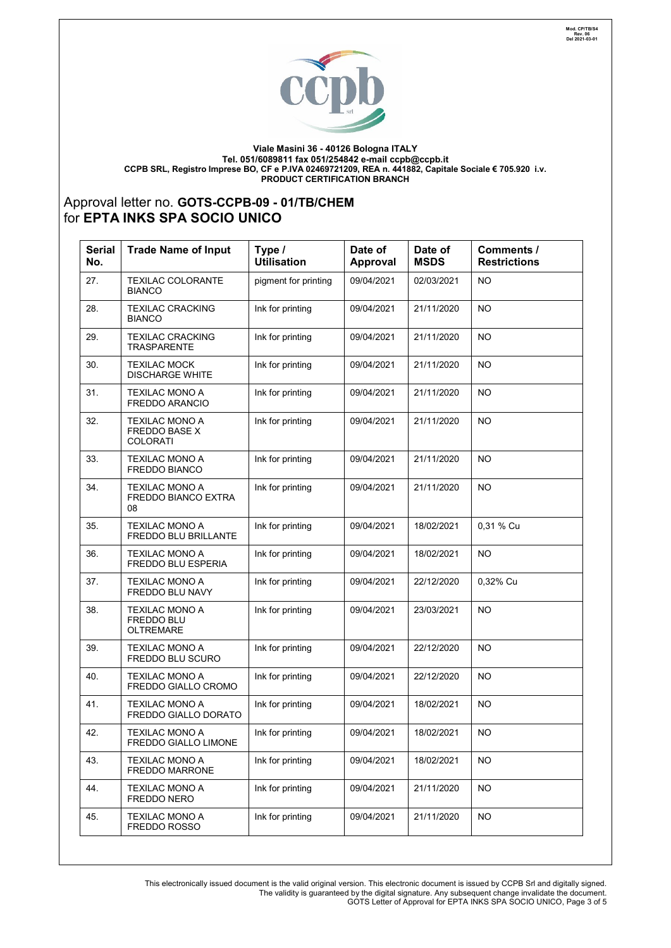

**Viale Masini 36 - 40126 Bologna ITALY Tel. 051/6089811 fax 051/254842 e-mail [ccpb@ccpb.it](mailto:ccpb@ccpb.it) CCPB SRL, Registro Imprese BO, CF e P.IVA 02469721209, REA n. 441882, Capitale Sociale € 705.920 i.v. PRODUCT CERTIFICATION BRANCH**

## Approval letter no. **GOTS-CCPB-09 - 01/TB/CHEM**  for **EPTA INKS SPA SOCIO UNICO**

| <b>Serial</b><br>No. | <b>Trade Name of Input</b>                                | Type /<br><b>Utilisation</b> | Date of<br>Approval | Date of<br><b>MSDS</b> | Comments /<br><b>Restrictions</b> |
|----------------------|-----------------------------------------------------------|------------------------------|---------------------|------------------------|-----------------------------------|
| 27.                  | <b>TEXILAC COLORANTE</b><br><b>BIANCO</b>                 | pigment for printing         | 09/04/2021          | 02/03/2021             | <b>NO</b>                         |
| 28.                  | <b>TEXILAC CRACKING</b><br><b>BIANCO</b>                  | Ink for printing             | 09/04/2021          | 21/11/2020             | NO                                |
| 29.                  | <b>TEXILAC CRACKING</b><br><b>TRASPARENTE</b>             | Ink for printing             | 09/04/2021          | 21/11/2020             | <b>NO</b>                         |
| 30.                  | <b>TEXILAC MOCK</b><br><b>DISCHARGE WHITE</b>             | Ink for printing             | 09/04/2021          | 21/11/2020             | <b>NO</b>                         |
| 31.                  | TEXILAC MONO A<br><b>FREDDO ARANCIO</b>                   | Ink for printing             | 09/04/2021          | 21/11/2020             | <b>NO</b>                         |
| 32.                  | TEXILAC MONO A<br><b>FREDDO BASE X</b><br><b>COLORATI</b> | Ink for printing             | 09/04/2021          | 21/11/2020             | <b>NO</b>                         |
| 33.                  | <b>TEXILAC MONO A</b><br><b>FREDDO BIANCO</b>             | Ink for printing             | 09/04/2021          | 21/11/2020             | <b>NO</b>                         |
| 34.                  | <b>TEXILAC MONO A</b><br>FREDDO BIANCO EXTRA<br>08        | Ink for printing             | 09/04/2021          | 21/11/2020             | <b>NO</b>                         |
| 35.                  | <b>TEXILAC MONO A</b><br>FREDDO BLU BRILLANTE             | Ink for printing             | 09/04/2021          | 18/02/2021             | 0,31 % Cu                         |
| 36.                  | <b>TEXILAC MONO A</b><br>FREDDO BLU ESPERIA               | Ink for printing             | 09/04/2021          | 18/02/2021             | <b>NO</b>                         |
| 37.                  | <b>TEXILAC MONO A</b><br>FREDDO BLU NAVY                  | Ink for printing             | 09/04/2021          | 22/12/2020             | 0,32% Cu                          |
| 38.                  | TEXILAC MONO A<br><b>FREDDO BLU</b><br><b>OLTREMARE</b>   | Ink for printing             | 09/04/2021          | 23/03/2021             | <b>NO</b>                         |
| 39.                  | <b>TEXILAC MONO A</b><br>FREDDO BLU SCURO                 | Ink for printing             | 09/04/2021          | 22/12/2020             | <b>NO</b>                         |
| 40.                  | TEXILAC MONO A<br>FREDDO GIALLO CROMO                     | Ink for printing             | 09/04/2021          | 22/12/2020             | <b>NO</b>                         |
| 41.                  | TEXILAC MONO A<br><b>FREDDO GIALLO DORATO</b>             | Ink for printing             | 09/04/2021          | 18/02/2021             | NO                                |
| 42.                  | <b>TEXILAC MONO A</b><br>FREDDO GIALLO LIMONE             | Ink for printing             | 09/04/2021          | 18/02/2021             | <b>NO</b>                         |
| 43.                  | TEXILAC MONO A<br><b>FREDDO MARRONE</b>                   | Ink for printing             | 09/04/2021          | 18/02/2021             | NO                                |
| 44.                  | TEXILAC MONO A<br>FREDDO NERO                             | Ink for printing             | 09/04/2021          | 21/11/2020             | NO.                               |
| 45.                  | <b>TEXILAC MONO A</b><br>FREDDO ROSSO                     | Ink for printing             | 09/04/2021          | 21/11/2020             | <b>NO</b>                         |

This electronically issued document is the valid original version. This electronic document is issued by CCPB Srl and digitally signed. The validity is guaranteed by the digital signature. Any subsequent change invalidate the document. GOTS Letter of Approval for EPTA INKS SPA SOCIO UNICO, Page 3 of 5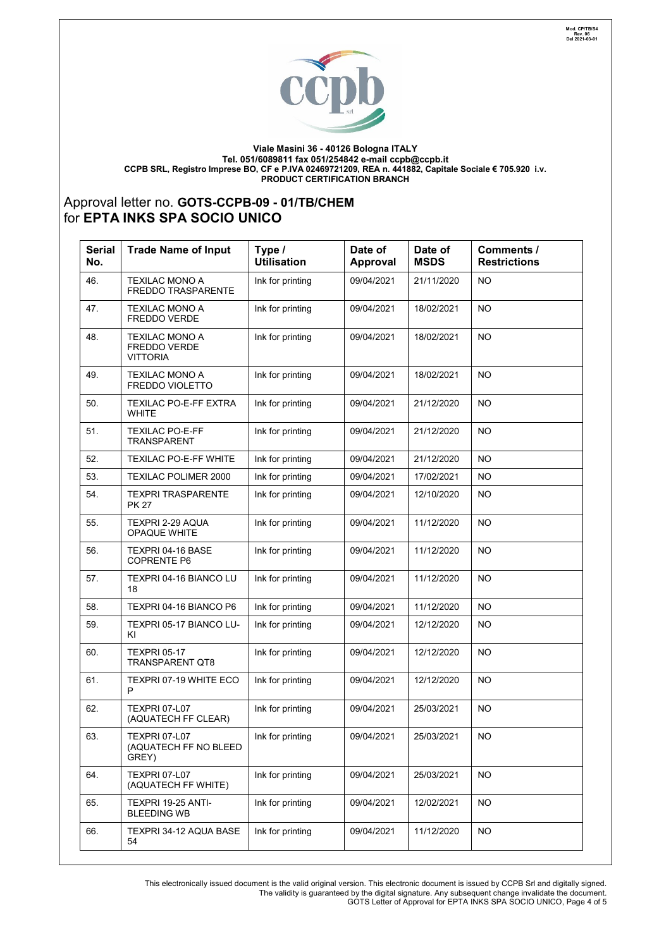

**Viale Masini 36 - 40126 Bologna ITALY Tel. 051/6089811 fax 051/254842 e-mail [ccpb@ccpb.it](mailto:ccpb@ccpb.it) CCPB SRL, Registro Imprese BO, CF e P.IVA 02469721209, REA n. 441882, Capitale Sociale € 705.920 i.v. PRODUCT CERTIFICATION BRANCH**

## Approval letter no. **GOTS-CCPB-09 - 01/TB/CHEM**  for **EPTA INKS SPA SOCIO UNICO**

| <b>Serial</b><br>No. | <b>Trade Name of Input</b>                               | Type /<br><b>Utilisation</b> | Date of<br>Approval | Date of<br><b>MSDS</b> | Comments /<br><b>Restrictions</b> |
|----------------------|----------------------------------------------------------|------------------------------|---------------------|------------------------|-----------------------------------|
| 46.                  | <b>TEXILAC MONO A</b><br><b>FREDDO TRASPARENTE</b>       | Ink for printing             | 09/04/2021          | 21/11/2020             | NO                                |
| 47.                  | <b>TEXILAC MONO A</b><br><b>FREDDO VERDE</b>             | Ink for printing             | 09/04/2021          | 18/02/2021             | <b>NO</b>                         |
| 48.                  | <b>TEXILAC MONO A</b><br>FREDDO VERDE<br><b>VITTORIA</b> | Ink for printing             | 09/04/2021          | 18/02/2021             | <b>NO</b>                         |
| 49.                  | <b>TEXILAC MONO A</b><br><b>FREDDO VIOLETTO</b>          | Ink for printing             | 09/04/2021          | 18/02/2021             | <b>NO</b>                         |
| 50.                  | <b>TEXILAC PO-E-FF EXTRA</b><br><b>WHITE</b>             | Ink for printing             | 09/04/2021          | 21/12/2020             | <b>NO</b>                         |
| 51.                  | <b>TEXILAC PO-E-FF</b><br><b>TRANSPARENT</b>             | Ink for printing             | 09/04/2021          | 21/12/2020             | NO                                |
| 52.                  | <b>TEXILAC PO-E-FF WHITE</b>                             | Ink for printing             | 09/04/2021          | 21/12/2020             | <b>NO</b>                         |
| 53.                  | <b>TEXILAC POLIMER 2000</b>                              | Ink for printing             | 09/04/2021          | 17/02/2021             | NO.                               |
| 54.                  | <b>TEXPRI TRASPARENTE</b><br><b>PK 27</b>                | Ink for printing             | 09/04/2021          | 12/10/2020             | <b>NO</b>                         |
| 55.                  | <b>TEXPRI 2-29 AQUA</b><br><b>OPAQUE WHITE</b>           | Ink for printing             | 09/04/2021          | 11/12/2020             | <b>NO</b>                         |
| 56.                  | TEXPRI 04-16 BASE<br><b>COPRENTE P6</b>                  | Ink for printing             | 09/04/2021          | 11/12/2020             | NO                                |
| 57.                  | TEXPRI 04-16 BIANCO LU<br>18                             | Ink for printing             | 09/04/2021          | 11/12/2020             | NO.                               |
| 58.                  | TEXPRI 04-16 BIANCO P6                                   | Ink for printing             | 09/04/2021          | 11/12/2020             | <b>NO</b>                         |
| 59.                  | TEXPRI 05-17 BIANCO LU-<br>ΚI                            | Ink for printing             | 09/04/2021          | 12/12/2020             | <b>NO</b>                         |
| 60.                  | <b>TEXPRI 05-17</b><br><b>TRANSPARENT QT8</b>            | Ink for printing             | 09/04/2021          | 12/12/2020             | NO                                |
| 61.                  | TEXPRI 07-19 WHITE ECO<br>P                              | Ink for printing             | 09/04/2021          | 12/12/2020             | NO                                |
| 62.                  | <b>TEXPRI 07-L07</b><br>(AQUATECH FF CLEAR)              | Ink for printing             | 09/04/2021          | 25/03/2021             | <b>NO</b>                         |
| 63.                  | <b>TEXPRI 07-L07</b><br>(AQUATECH FF NO BLEED<br>GREY)   | Ink for printing             | 09/04/2021          | 25/03/2021             | <b>NO</b>                         |
| 64.                  | <b>TEXPRI 07-L07</b><br>(AQUATECH FF WHITE)              | Ink for printing             | 09/04/2021          | 25/03/2021             | <b>NO</b>                         |
| 65.                  | TEXPRI 19-25 ANTI-<br><b>BLEEDING WB</b>                 | Ink for printing             | 09/04/2021          | 12/02/2021             | NO.                               |
| 66.                  | <b>TEXPRI 34-12 AQUA BASE</b><br>54                      | Ink for printing             | 09/04/2021          | 11/12/2020             | NO.                               |

This electronically issued document is the valid original version. This electronic document is issued by CCPB Srl and digitally signed. The validity is guaranteed by the digital signature. Any subsequent change invalidate the document. GOTS Letter of Approval for EPTA INKS SPA SOCIO UNICO, Page 4 of 5